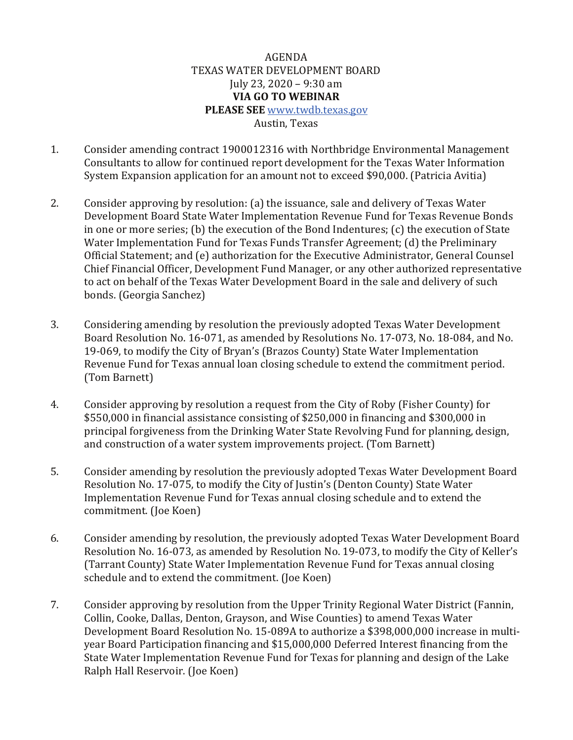## AGENDA TEXAS WATER DEVELOPMENT BOARD July 23, 2020 – 9:30 am **VIA GO TO WEBINAR PLEASE SEE** [www.twdb.texas.gov](http://www.twdb.texas.gov/) Austin, Texas

- 1. Consider amending contract 1900012316 with Northbridge Environmental Management Consultants to allow for continued report development for the Texas Water Information System Expansion application for an amount not to exceed \$90,000. (Patricia Avitia)
- 2. Consider approving by resolution: (a) the issuance, sale and delivery of Texas Water Development Board State Water Implementation Revenue Fund for Texas Revenue Bonds in one or more series; (b) the execution of the Bond Indentures; (c) the execution of State Water Implementation Fund for Texas Funds Transfer Agreement; (d) the Preliminary Official Statement; and (e) authorization for the Executive Administrator, General Counsel Chief Financial Officer, Development Fund Manager, or any other authorized representative to act on behalf of the Texas Water Development Board in the sale and delivery of such bonds. (Georgia Sanchez)
- 3. Considering amending by resolution the previously adopted Texas Water Development Board Resolution No. 16-071, as amended by Resolutions No. 17-073, No. 18-084, and No. 19-069, to modify the City of Bryan's (Brazos County) State Water Implementation Revenue Fund for Texas annual loan closing schedule to extend the commitment period. (Tom Barnett)
- 4. Consider approving by resolution a request from the City of Roby (Fisher County) for \$550,000 in financial assistance consisting of \$250,000 in financing and \$300,000 in principal forgiveness from the Drinking Water State Revolving Fund for planning, design, and construction of a water system improvements project. (Tom Barnett)
- 5. Consider amending by resolution the previously adopted Texas Water Development Board Resolution No. 17-075, to modify the City of Justin's (Denton County) State Water Implementation Revenue Fund for Texas annual closing schedule and to extend the commitment. (Joe Koen)
- 6. Consider amending by resolution, the previously adopted Texas Water Development Board Resolution No. 16-073, as amended by Resolution No. 19-073, to modify the City of Keller's (Tarrant County) State Water Implementation Revenue Fund for Texas annual closing schedule and to extend the commitment. (Joe Koen)
- 7. Consider approving by resolution from the Upper Trinity Regional Water District (Fannin, Collin, Cooke, Dallas, Denton, Grayson, and Wise Counties) to amend Texas Water Development Board Resolution No. 15-089A to authorize a \$398,000,000 increase in multiyear Board Participation financing and \$15,000,000 Deferred Interest financing from the State Water Implementation Revenue Fund for Texas for planning and design of the Lake Ralph Hall Reservoir. (Joe Koen)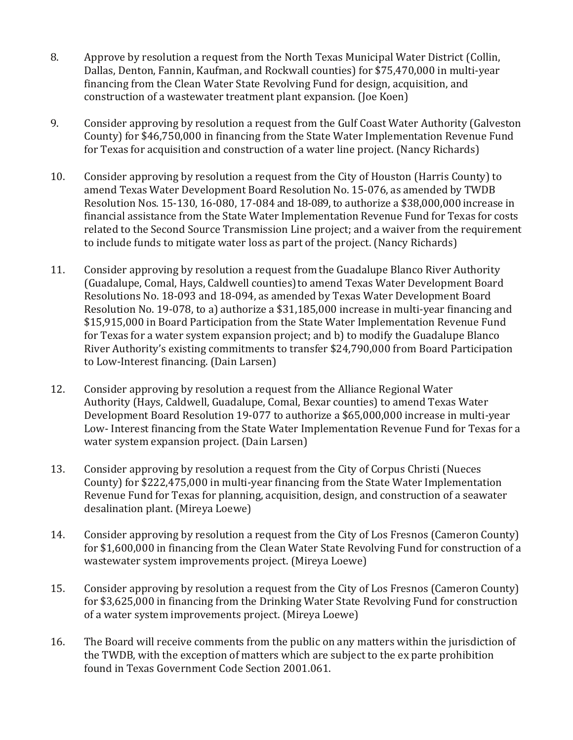- 8. Approve by resolution a request from the North Texas Municipal Water District (Collin, Dallas, Denton, Fannin, Kaufman, and Rockwall counties) for \$75,470,000 in multi-year financing from the Clean Water State Revolving Fund for design, acquisition, and construction of a wastewater treatment plant expansion. (Joe Koen)
- 9. Consider approving by resolution a request from the Gulf Coast Water Authority (Galveston County) for \$46,750,000 in financing from the State Water Implementation Revenue Fund for Texas for acquisition and construction of a water line project. (Nancy Richards)
- 10. Consider approving by resolution a request from the City of Houston (Harris County) to amend Texas Water Development Board Resolution No. 15-076, as amended by TWDB Resolution Nos. 15-130, 16-080, 17-084 and 18-089, to authorize a \$38,000,000 increase in financial assistance from the State Water Implementation Revenue Fund for Texas for costs related to the Second Source Transmission Line project; and a waiver from the requirement to include funds to mitigate water loss as part of the project. (Nancy Richards)
- 11. Consider approving by resolution a request fromthe Guadalupe Blanco River Authority (Guadalupe, Comal, Hays, Caldwell counties)to amend Texas Water Development Board Resolutions No. 18-093 and 18-094, as amended by Texas Water Development Board Resolution No. 19-078, to a) authorize a \$31,185,000 increase in multi-year financing and \$15,915,000 in Board Participation from the State Water Implementation Revenue Fund for Texas for a water system expansion project; and b) to modify the Guadalupe Blanco River Authority's existing commitments to transfer \$24,790,000 from Board Participation to Low-Interest financing. (Dain Larsen)
- 12. Consider approving by resolution a request from the Alliance Regional Water Authority (Hays, Caldwell, Guadalupe, Comal, Bexar counties) to amend Texas Water Development Board Resolution 19-077 to authorize a \$65,000,000 increase in multi-year Low- Interest financing from the State Water Implementation Revenue Fund for Texas for a water system expansion project. (Dain Larsen)
- 13. Consider approving by resolution a request from the City of Corpus Christi (Nueces County) for \$222,475,000 in multi-year financing from the State Water Implementation Revenue Fund for Texas for planning, acquisition, design, and construction of a seawater desalination plant. (Mireya Loewe)
- 14. Consider approving by resolution a request from the City of Los Fresnos (Cameron County) for \$1,600,000 in financing from the Clean Water State Revolving Fund for construction of a wastewater system improvements project. (Mireya Loewe)
- 15. Consider approving by resolution a request from the City of Los Fresnos (Cameron County) for \$3,625,000 in financing from the Drinking Water State Revolving Fund for construction of a water system improvements project. (Mireya Loewe)
- 16. The Board will receive comments from the public on any matters within the jurisdiction of the TWDB, with the exception of matters which are subject to the ex parte prohibition found in Texas Government Code Section 2001.061.